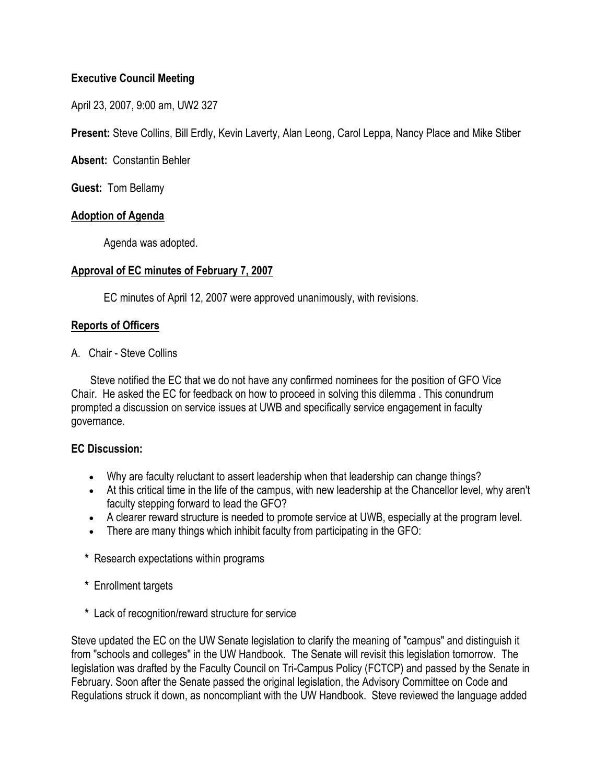# **Executive Council Meeting**

April 23, 2007, 9:00 am, UW2 327

**Present:** Steve Collins, Bill Erdly, Kevin Laverty, Alan Leong, Carol Leppa, Nancy Place and Mike Stiber

**Absent:** Constantin Behler

**Guest:** Tom Bellamy

## **Adoption of Agenda**

Agenda was adopted.

## **Approval of EC minutes of February 7, 2007**

EC minutes of April 12, 2007 were approved unanimously, with revisions.

## **Reports of Officers**

### A. Chair - Steve Collins

 Steve notified the EC that we do not have any confirmed nominees for the position of GFO Vice Chair. He asked the EC for feedback on how to proceed in solving this dilemma . This conundrum prompted a discussion on service issues at UWB and specifically service engagement in faculty governance.

## **EC Discussion:**

- Why are faculty reluctant to assert leadership when that leadership can change things?
- At this critical time in the life of the campus, with new leadership at the Chancellor level, why aren't faculty stepping forward to lead the GFO?
- A clearer reward structure is needed to promote service at UWB, especially at the program level.
- There are many things which inhibit faculty from participating in the GFO:
- **\*** Research expectations within programs
- **\*** Enrollment targets
- **\*** Lack of recognition/reward structure for service

Steve updated the EC on the UW Senate legislation to clarify the meaning of "campus" and distinguish it from "schools and colleges" in the UW Handbook. The Senate will revisit this legislation tomorrow. The legislation was drafted by the Faculty Council on Tri-Campus Policy (FCTCP) and passed by the Senate in February. Soon after the Senate passed the original legislation, the Advisory Committee on Code and Regulations struck it down, as noncompliant with the UW Handbook. Steve reviewed the language added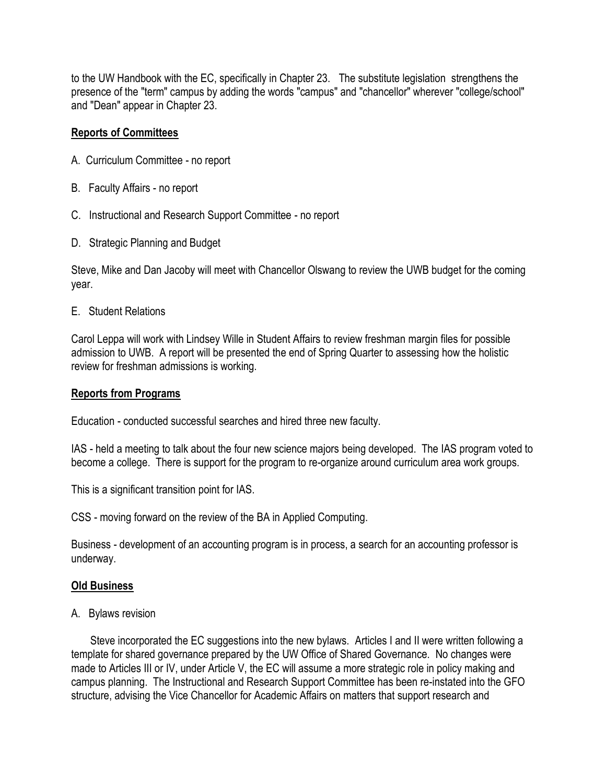to the UW Handbook with the EC, specifically in Chapter 23. The substitute legislation strengthens the presence of the "term" campus by adding the words "campus" and "chancellor" wherever "college/school" and "Dean" appear in Chapter 23.

### **Reports of Committees**

- A. Curriculum Committee no report
- B. Faculty Affairs no report
- C. Instructional and Research Support Committee no report
- D. Strategic Planning and Budget

Steve, Mike and Dan Jacoby will meet with Chancellor Olswang to review the UWB budget for the coming year.

E. Student Relations

Carol Leppa will work with Lindsey Wille in Student Affairs to review freshman margin files for possible admission to UWB. A report will be presented the end of Spring Quarter to assessing how the holistic review for freshman admissions is working.

#### **Reports from Programs**

Education - conducted successful searches and hired three new faculty.

IAS - held a meeting to talk about the four new science majors being developed. The IAS program voted to become a college. There is support for the program to re-organize around curriculum area work groups.

This is a significant transition point for IAS.

CSS - moving forward on the review of the BA in Applied Computing.

Business - development of an accounting program is in process, a search for an accounting professor is underway.

### **Old Business**

#### A. Bylaws revision

 Steve incorporated the EC suggestions into the new bylaws. Articles I and II were written following a template for shared governance prepared by the UW Office of Shared Governance. No changes were made to Articles III or IV, under Article V, the EC will assume a more strategic role in policy making and campus planning. The Instructional and Research Support Committee has been re-instated into the GFO structure, advising the Vice Chancellor for Academic Affairs on matters that support research and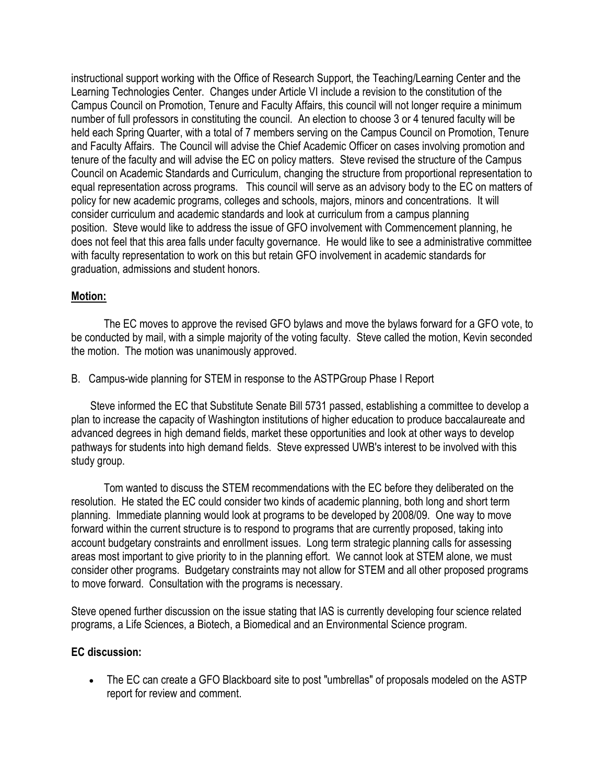instructional support working with the Office of Research Support, the Teaching/Learning Center and the Learning Technologies Center. Changes under Article VI include a revision to the constitution of the Campus Council on Promotion, Tenure and Faculty Affairs, this council will not longer require a minimum number of full professors in constituting the council. An election to choose 3 or 4 tenured faculty will be held each Spring Quarter, with a total of 7 members serving on the Campus Council on Promotion, Tenure and Faculty Affairs. The Council will advise the Chief Academic Officer on cases involving promotion and tenure of the faculty and will advise the EC on policy matters. Steve revised the structure of the Campus Council on Academic Standards and Curriculum, changing the structure from proportional representation to equal representation across programs. This council will serve as an advisory body to the EC on matters of policy for new academic programs, colleges and schools, majors, minors and concentrations. It will consider curriculum and academic standards and look at curriculum from a campus planning position. Steve would like to address the issue of GFO involvement with Commencement planning, he does not feel that this area falls under faculty governance. He would like to see a administrative committee with faculty representation to work on this but retain GFO involvement in academic standards for graduation, admissions and student honors.

## **Motion:**

 The EC moves to approve the revised GFO bylaws and move the bylaws forward for a GFO vote, to be conducted by mail, with a simple majority of the voting faculty. Steve called the motion, Kevin seconded the motion. The motion was unanimously approved.

B. Campus-wide planning for STEM in response to the ASTPGroup Phase I Report

 Steve informed the EC that Substitute Senate Bill 5731 passed, establishing a committee to develop a plan to increase the capacity of Washington institutions of higher education to produce baccalaureate and advanced degrees in high demand fields, market these opportunities and look at other ways to develop pathways for students into high demand fields. Steve expressed UWB's interest to be involved with this study group.

 Tom wanted to discuss the STEM recommendations with the EC before they deliberated on the resolution. He stated the EC could consider two kinds of academic planning, both long and short term planning. Immediate planning would look at programs to be developed by 2008/09. One way to move forward within the current structure is to respond to programs that are currently proposed, taking into account budgetary constraints and enrollment issues. Long term strategic planning calls for assessing areas most important to give priority to in the planning effort. We cannot look at STEM alone, we must consider other programs. Budgetary constraints may not allow for STEM and all other proposed programs to move forward. Consultation with the programs is necessary.

Steve opened further discussion on the issue stating that IAS is currently developing four science related programs, a Life Sciences, a Biotech, a Biomedical and an Environmental Science program.

# **EC discussion:**

 The EC can create a GFO Blackboard site to post "umbrellas" of proposals modeled on the ASTP report for review and comment.